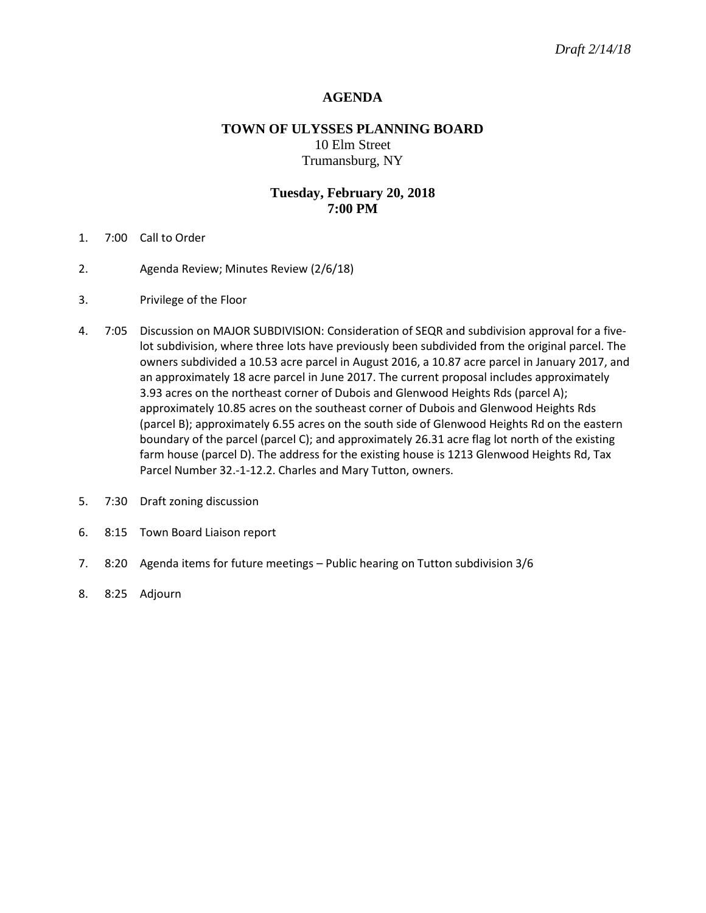## **AGENDA**

# **TOWN OF ULYSSES PLANNING BOARD** 10 Elm Street Trumansburg, NY

## **Tuesday, February 20, 2018 7:00 PM**

- 1. 7:00 Call to Order
- 2. Agenda Review; Minutes Review (2/6/18)
- 3. Privilege of the Floor
- 4. 7:05 Discussion on MAJOR SUBDIVISION: Consideration of SEQR and subdivision approval for a fivelot subdivision, where three lots have previously been subdivided from the original parcel. The owners subdivided a 10.53 acre parcel in August 2016, a 10.87 acre parcel in January 2017, and an approximately 18 acre parcel in June 2017. The current proposal includes approximately 3.93 acres on the northeast corner of Dubois and Glenwood Heights Rds (parcel A); approximately 10.85 acres on the southeast corner of Dubois and Glenwood Heights Rds (parcel B); approximately 6.55 acres on the south side of Glenwood Heights Rd on the eastern boundary of the parcel (parcel C); and approximately 26.31 acre flag lot north of the existing farm house (parcel D). The address for the existing house is 1213 Glenwood Heights Rd, Tax Parcel Number 32.-1-12.2. Charles and Mary Tutton, owners.
- 5. 7:30 Draft zoning discussion
- 6. 8:15 Town Board Liaison report
- 7. 8:20 Agenda items for future meetings Public hearing on Tutton subdivision 3/6
- 8. 8:25 Adjourn